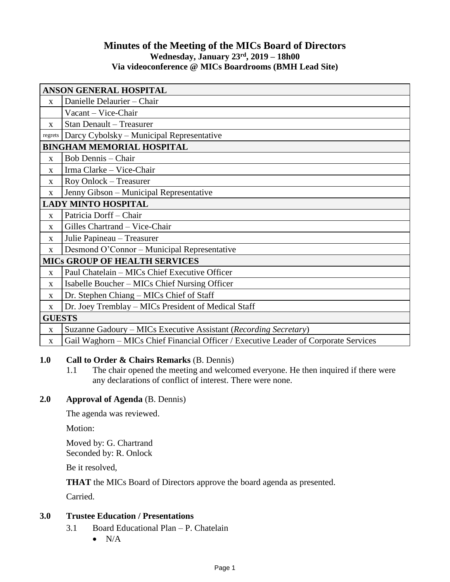# **Minutes of the Meeting of the MICs Board of Directors Wednesday, January 23rd, 2019 – 18h00 Via videoconference @ MICs Boardrooms (BMH Lead Site)**

| <b>ANSON GENERAL HOSPITAL</b>        |                                                                                      |
|--------------------------------------|--------------------------------------------------------------------------------------|
| $\mathbf{x}$                         | Danielle Delaurier - Chair                                                           |
|                                      | Vacant - Vice-Chair                                                                  |
| X                                    | <b>Stan Denault - Treasurer</b>                                                      |
| regrets                              | Darcy Cybolsky – Municipal Representative                                            |
| <b>BINGHAM MEMORIAL HOSPITAL</b>     |                                                                                      |
| X                                    | <b>Bob Dennis</b> – Chair                                                            |
| $\mathbf{x}$                         | Irma Clarke - Vice-Chair                                                             |
| X                                    | Roy Onlock – Treasurer                                                               |
| X                                    | Jenny Gibson - Municipal Representative                                              |
| <b>LADY MINTO HOSPITAL</b>           |                                                                                      |
| $\mathbf{x}$                         | Patricia Dorff - Chair                                                               |
| X                                    | Gilles Chartrand - Vice-Chair                                                        |
| X                                    | Julie Papineau - Treasurer                                                           |
| X                                    | Desmond O'Connor – Municipal Representative                                          |
| <b>MICS GROUP OF HEALTH SERVICES</b> |                                                                                      |
| $\mathbf{x}$                         | Paul Chatelain - MICs Chief Executive Officer                                        |
| $\mathbf{x}$                         | Isabelle Boucher – MICs Chief Nursing Officer                                        |
| X                                    | Dr. Stephen Chiang - MICs Chief of Staff                                             |
| X                                    | Dr. Joey Tremblay - MICs President of Medical Staff                                  |
| <b>GUESTS</b>                        |                                                                                      |
| $\mathbf X$                          | Suzanne Gadoury – MICs Executive Assistant (Recording Secretary)                     |
| $\mathbf X$                          | Gail Waghorn – MICs Chief Financial Officer / Executive Leader of Corporate Services |

### **1.0 Call to Order & Chairs Remarks** (B. Dennis)

1.1 The chair opened the meeting and welcomed everyone. He then inquired if there were any declarations of conflict of interest. There were none.

# **2.0 Approval of Agenda** (B. Dennis)

The agenda was reviewed.

Motion:

Moved by: G. Chartrand Seconded by: R. Onlock

Be it resolved,

**THAT** the MICs Board of Directors approve the board agenda as presented.

Carried.

### **3.0 Trustee Education / Presentations**

- 3.1 Board Educational Plan P. Chatelain
	- $\bullet$  N/A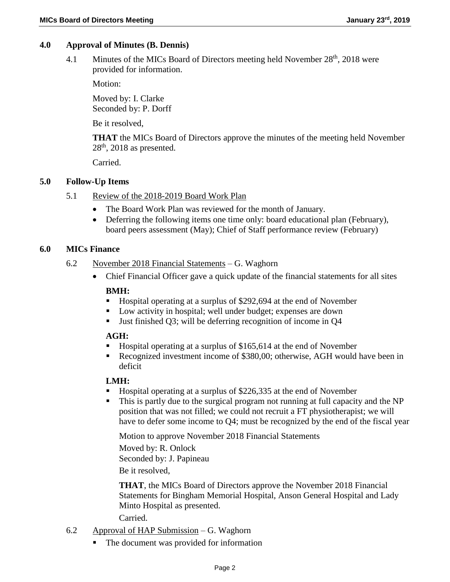### **4.0 Approval of Minutes (B. Dennis)**

4.1 Minutes of the MICs Board of Directors meeting held November  $28<sup>th</sup>$ , 2018 were provided for information.

Motion:

Moved by: I. Clarke Seconded by: P. Dorff

Be it resolved,

**THAT** the MICs Board of Directors approve the minutes of the meeting held November  $28<sup>th</sup>$ , 2018 as presented.

Carried.

### **5.0 Follow-Up Items**

- 5.1 Review of the 2018-2019 Board Work Plan
	- The Board Work Plan was reviewed for the month of January.
	- Deferring the following items one time only: board educational plan (February), board peers assessment (May); Chief of Staff performance review (February)

#### **6.0 MICs Finance**

- 6.2 November 2018 Financial Statements G. Waghorn
	- Chief Financial Officer gave a quick update of the financial statements for all sites **BMH:**
		- Hospital operating at a surplus of \$292,694 at the end of November
		- **Low activity in hospital; well under budget; expenses are down**
		- Just finished Q3; will be deferring recognition of income in Q4

#### **AGH:**

- Hospital operating at a surplus of \$165,614 at the end of November
- Recognized investment income of \$380,00; otherwise, AGH would have been in deficit

### **LMH:**

- Hospital operating at a surplus of \$226,335 at the end of November
- This is partly due to the surgical program not running at full capacity and the NP position that was not filled; we could not recruit a FT physiotherapist; we will have to defer some income to Q4; must be recognized by the end of the fiscal year

Motion to approve November 2018 Financial Statements

Moved by: R. Onlock Seconded by: J. Papineau Be it resolved,

**THAT**, the MICs Board of Directors approve the November 2018 Financial Statements for Bingham Memorial Hospital, Anson General Hospital and Lady Minto Hospital as presented.

Carried.

- 6.2 Approval of HAP Submission G. Waghorn
	- The document was provided for information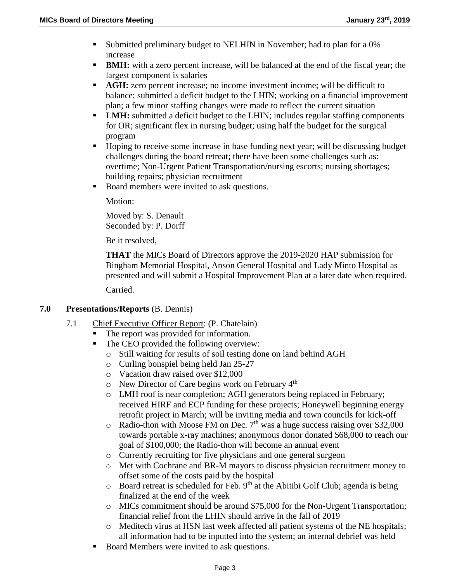- Submitted preliminary budget to NELHIN in November; had to plan for a 0% increase
- **BMH:** with a zero percent increase, will be balanced at the end of the fiscal year; the largest component is salaries
- **AGH:** zero percent increase; no income investment income; will be difficult to balance; submitted a deficit budget to the LHIN; working on a financial improvement plan; a few minor staffing changes were made to reflect the current situation
- **LMH:** submitted a deficit budget to the LHIN; includes regular staffing components for OR; significant flex in nursing budget; using half the budget for the surgical program
- Hoping to receive some increase in base funding next year; will be discussing budget challenges during the board retreat; there have been some challenges such as: overtime; Non-Urgent Patient Transportation/nursing escorts; nursing shortages; building repairs; physician recruitment
- Board members were invited to ask questions.

Motion:

Moved by: S. Denault Seconded by: P. Dorff

Be it resolved,

**THAT** the MICs Board of Directors approve the 2019-2020 HAP submission for Bingham Memorial Hospital, Anson General Hospital and Lady Minto Hospital as presented and will submit a Hospital Improvement Plan at a later date when required.

Carried.

- **7.0 Presentations/Reports** (B. Dennis)
	- 7.1 Chief Executive Officer Report: (P. Chatelain)
		- The report was provided for information.
		- The CEO provided the following overview:
			- o Still waiting for results of soil testing done on land behind AGH
			- o Curling bonspiel being held Jan 25-27
			- o Vacation draw raised over \$12,000
			- o New Director of Care begins work on February 4th
			- o LMH roof is near completion; AGH generators being replaced in February; received HIRF and ECP funding for these projects; Honeywell beginning energy retrofit project in March; will be inviting media and town councils for kick-off
			- $\circ$  Radio-thon with Moose FM on Dec. 7<sup>th</sup> was a huge success raising over \$32,000 towards portable x-ray machines; anonymous donor donated \$68,000 to reach our goal of \$100,000; the Radio-thon will become an annual event
			- o Currently recruiting for five physicians and one general surgeon
			- o Met with Cochrane and BR-M mayors to discuss physician recruitment money to offset some of the costs paid by the hospital
			- $\circ$  Board retreat is scheduled for Feb. 9<sup>th</sup> at the Abitibi Golf Club; agenda is being finalized at the end of the week
			- o MICs commitment should be around \$75,000 for the Non-Urgent Transportation; financial relief from the LHIN should arrive in the fall of 2019
			- o Meditech virus at HSN last week affected all patient systems of the NE hospitals; all information had to be inputted into the system; an internal debrief was held
		- Board Members were invited to ask questions.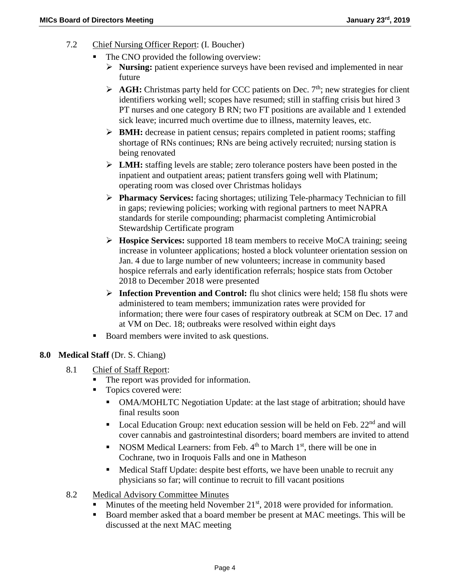- 7.2 Chief Nursing Officer Report: (I. Boucher)
	- The CNO provided the following overview:
		- **Nursing:** patient experience surveys have been revised and implemented in near future
		- $\triangleright$  **AGH:** Christmas party held for CCC patients on Dec.  $7<sup>th</sup>$ ; new strategies for client identifiers working well; scopes have resumed; still in staffing crisis but hired 3 PT nurses and one category B RN; two FT positions are available and 1 extended sick leave; incurred much overtime due to illness, maternity leaves, etc.
		- **BMH:** decrease in patient census; repairs completed in patient rooms; staffing shortage of RNs continues; RNs are being actively recruited; nursing station is being renovated
		- **LMH:** staffing levels are stable; zero tolerance posters have been posted in the inpatient and outpatient areas; patient transfers going well with Platinum; operating room was closed over Christmas holidays
		- **Pharmacy Services:** facing shortages; utilizing Tele-pharmacy Technician to fill in gaps; reviewing policies; working with regional partners to meet NAPRA standards for sterile compounding; pharmacist completing Antimicrobial Stewardship Certificate program
		- **Hospice Services:** supported 18 team members to receive MoCA training; seeing increase in volunteer applications; hosted a block volunteer orientation session on Jan. 4 due to large number of new volunteers; increase in community based hospice referrals and early identification referrals; hospice stats from October 2018 to December 2018 were presented
		- **Infection Prevention and Control:** flu shot clinics were held; 158 flu shots were administered to team members; immunization rates were provided for information; there were four cases of respiratory outbreak at SCM on Dec. 17 and at VM on Dec. 18; outbreaks were resolved within eight days
	- Board members were invited to ask questions.

## **8.0 Medical Staff** (Dr. S. Chiang)

- 8.1 Chief of Staff Report:
	- The report was provided for information.
	- Topics covered were:
		- OMA/MOHLTC Negotiation Update: at the last stage of arbitration; should have final results soon
		- Local Education Group: next education session will be held on Feb.  $22<sup>nd</sup>$  and will cover cannabis and gastrointestinal disorders; board members are invited to attend
		- NOSM Medical Learners: from Feb.  $4<sup>th</sup>$  to March  $1<sup>st</sup>$ , there will be one in Cochrane, two in Iroquois Falls and one in Matheson
		- Medical Staff Update: despite best efforts, we have been unable to recruit any physicians so far; will continue to recruit to fill vacant positions
- 8.2 Medical Advisory Committee Minutes
	- Minutes of the meeting held November  $21<sup>st</sup>$ , 2018 were provided for information.
	- Board member asked that a board member be present at MAC meetings. This will be discussed at the next MAC meeting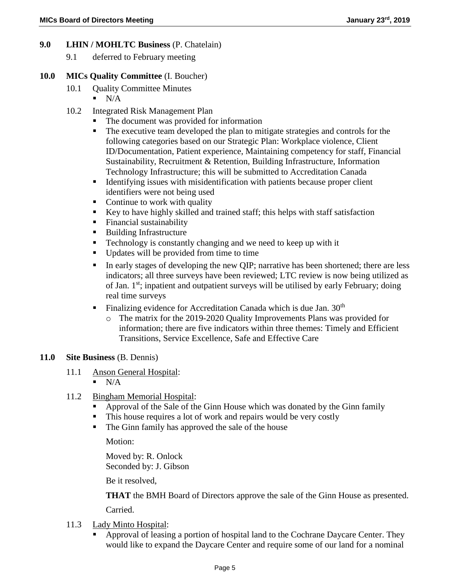## **9.0 LHIN / MOHLTC Business** (P. Chatelain)

9.1 deferred to February meeting

### **10.0 MICs Quality Committee** (I. Boucher)

- 10.1 Quality Committee Minutes
	- $N/A$
- 10.2 Integrated Risk Management Plan
	- The document was provided for information
	- The executive team developed the plan to mitigate strategies and controls for the following categories based on our Strategic Plan: Workplace violence, Client ID/Documentation, Patient experience, Maintaining competency for staff, Financial Sustainability, Recruitment & Retention, Building Infrastructure, Information Technology Infrastructure; this will be submitted to Accreditation Canada
	- Identifying issues with misidentification with patients because proper client identifiers were not being used
	- Continue to work with quality
	- Key to have highly skilled and trained staff; this helps with staff satisfaction
	- Financial sustainability
	- Building Infrastructure
	- Technology is constantly changing and we need to keep up with it
	- Updates will be provided from time to time
	- In early stages of developing the new OIP; narrative has been shortened; there are less indicators; all three surveys have been reviewed; LTC review is now being utilized as of Jan.  $1<sup>st</sup>$ ; inpatient and outpatient surveys will be utilised by early February; doing real time surveys
	- Finalizing evidence for Accreditation Canada which is due Jan.  $30<sup>th</sup>$ 
		- o The matrix for the 2019-2020 Quality Improvements Plans was provided for information; there are five indicators within three themes: Timely and Efficient Transitions, Service Excellence, Safe and Effective Care

### **11.0 Site Business** (B. Dennis)

- 11.1 Anson General Hospital:
	- $N/A$
- 11.2 Bingham Memorial Hospital:
	- Approval of the Sale of the Ginn House which was donated by the Ginn family
	- This house requires a lot of work and repairs would be very costly
	- The Ginn family has approved the sale of the house

Motion:

Moved by: R. Onlock Seconded by: J. Gibson

Be it resolved,

**THAT** the BMH Board of Directors approve the sale of the Ginn House as presented.

Carried.

- 11.3 Lady Minto Hospital:
	- Approval of leasing a portion of hospital land to the Cochrane Daycare Center. They would like to expand the Daycare Center and require some of our land for a nominal